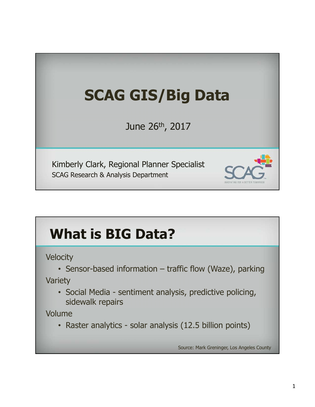# **SCAG GIS/Big Data** June 26th, 2017 Kimberly Clark, Regional Planner Specialist SCAG Research & Analysis Department

# **What is BIG Data?**

**Velocity** 

• Sensor-based information – traffic flow (Waze), parking

Variety

• Social Media - sentiment analysis, predictive policing, sidewalk repairs

Volume

• Raster analytics - solar analysis (12.5 billion points)

Source: Mark Greninger, Los Angeles County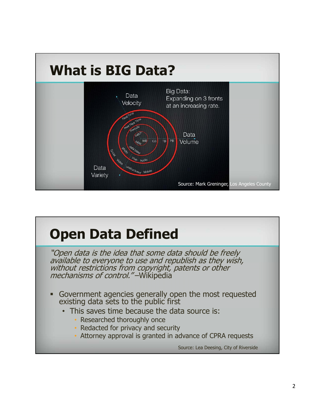

# **Open Data Defined**

"Open data is the idea that some data should be freely available to everyone to use and republish as they wish, without restrictions from copyright, patents or other mechanisms of control."-Wikipedia

- Government agencies generally open the most requested existing data sets to the public first
	- This saves time because the data source is:
		- Researched thoroughly once
		- Redacted for privacy and security
		- Attorney approval is granted in advance of CPRA requests

Source: Lea Deesing, City of Riverside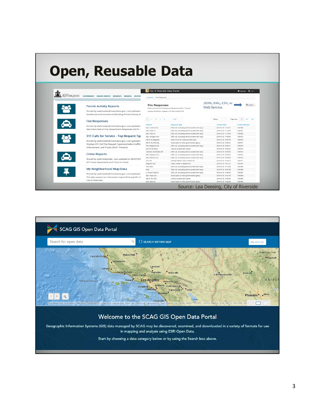# **Open, Reusable Data**

| <b>IVERSIDE</b> | <b>GOVERNMENT ONLINE SERVICES</b><br><b>RESIDENTS</b><br><b>VISITOR</b>                                                                                                                             | City of Riverside Data Portal<br>Datasats / Fire Responses                 |                                                                   |                                    | <b>E</b> Datasets Linger  |
|-----------------|-----------------------------------------------------------------------------------------------------------------------------------------------------------------------------------------------------|----------------------------------------------------------------------------|-------------------------------------------------------------------|------------------------------------|---------------------------|
|                 | <b>Permit Activity Reports</b><br>Shared by webmaster@riversideca.gov. Last updated<br>Residential and Commercial Building Permit Activity Ru                                                       | <b>Fire Responses</b><br>Created 05/03/2012, Updated 01/21/2014 5:23:25 PM | Real-time Feed of Fire Department Responses (2010 - Present)      | JSON, XML, CSV, or<br>Web Service. | <b>O</b> Export -         |
|                 | <b>Fire Responses</b>                                                                                                                                                                               | 1123415                                                                    | $5140 -$                                                          | Offset<br>Page filte               | <b>CONT</b><br>543<br>100 |
|                 |                                                                                                                                                                                                     | Address                                                                    |                                                                   | <b>Incident Date</b>               | <b>Incident Number</b>    |
|                 | Shared by webmaster@riversideca.gov. Last updated                                                                                                                                                   | <b>Mxx Ivanhoe Ave</b>                                                     | Response Type<br>EMS call, excluding vehicle accident with irqury | 2014-01-21 17:14:31                | 1401822                   |
|                 | Real-time Feed of Fire Department Responses (2010 -                                                                                                                                                 | 2Bick Hulen PI                                                             | EMS call, excluding vehicle accident with injury                  | 2014-01-21 17:12:30                | 1401821                   |
|                 | 311 Calls for Service - Top Request Typ<br>Shared by webmaster@riversideca.gov. Last updated<br>Displays 311 Call Top Request Types (excludes Graffiti,<br>Enforcement, and Trash) (2010 - Present) | <b><i>Black Palm Ct.</i></b>                                               | EMS call, excluding vehicle accident with injury                  | 2014-01-21 17:10:54                | 1401820                   |
|                 |                                                                                                                                                                                                     | 46xx Artington Ave                                                         | EMS call, excluding vehicle accident with injury                  | 2014-01-21 17:00:49                | 1401819                   |
|                 |                                                                                                                                                                                                     | Wb 91 Eq Magnolia                                                          | Direct tie to FD, malicious/talse alarm                           | 2014-01-21 16:57:06                | 1401818                   |
|                 |                                                                                                                                                                                                     | Wb 91 Ep Mckiniey                                                          | Assist police or other governmental agency                        | 2014-01-21 16:55:41                | 1401817                   |
|                 |                                                                                                                                                                                                     | 76xx Magnolia Ave                                                          | EMS call, excluding vehicle accident with Injury                  | 2014-01-21 16:49:11                | 1401816                   |
|                 |                                                                                                                                                                                                     | No 215 No Blaine                                                           | Vahicle accident with injuries                                    | 2014-01-21 16:44:47                | 1401815                   |
|                 | <b>Crime Reports</b>                                                                                                                                                                                | California Av&Shelby DR                                                    | EMS call, excluding vehicle accident with injury                  | 2014-01-21 16:33:45                | 1401814                   |
|                 |                                                                                                                                                                                                     | 99xx Magnolia Ave.                                                         | EMS call, excluding vehicle accident with injury                  | 2014-01-21 16:26:04                | 1401813                   |
|                 | Shared by rpdcrimeloader. Last updated on 06/07/201                                                                                                                                                 | <b>BOxx Mitchell Ave</b>                                                   | EMS call, excluding vehicle accident with injury                  | 2014-01-21 10:05:25                | 1401012                   |
|                 | All Crimes Reported (Last 5 Years to Date)                                                                                                                                                          | $27xx$ 6th                                                                 | Outside rubbrah, trash or waste fire                              | 2014-01-21 15:44:13                | 1401811                   |
|                 |                                                                                                                                                                                                     | Magnolis Ave                                                               | Forest, woods or wistand fire                                     | 2014-01-21 15:21:27                | 1401010                   |
|                 | My Neighborhood Map Data<br>Shared by webmaster@riversideca.gov. Last updated<br>This data powers an interactive map to find specific cit<br>City of Riverside.                                     | 16xx Man                                                                   | EMS call, excluding vehicle accident with injury                  | 2014-01-21 15:10:59                | 1401809                   |
|                 |                                                                                                                                                                                                     | <b>Main</b>                                                                | EMS call, excluding vehicle accident with injury                  | 2014-01-21 15:07:46                | 1401808                   |
|                 |                                                                                                                                                                                                     | xx Round Table Dr                                                          | EMS call, excluding vehicle accident with injury                  | 2014-01-21 14:50:42                | 1401807                   |
|                 |                                                                                                                                                                                                     | <b>BOxx Hope Ave</b>                                                       | Assist police or other governmental agency                        | 2014-01-21-14:41:05                | 1401806                   |
|                 |                                                                                                                                                                                                     | Wb 91 Wo 14th                                                              | Vehicle accident with injuries                                    | 2014-01-21 14:25:44                | 1401805                   |
|                 |                                                                                                                                                                                                     | 33xx Mono Dr                                                               | Assist police or other governmental agency                        | 2014-01-21 14:24:46                | 1401804                   |

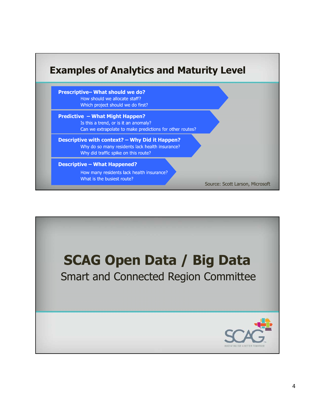#### **Examples of Analytics and Maturity Level**

**Prescriptive– What should we do?** How should we allocate staff? Which project should we do first?

**Predictive – What Might Happen?** Is this a trend, or is it an anomaly? Can we extrapolate to make predictions for other routes?

**Descriptive with context? – Why Did it Happen?** Why do so many residents lack health insurance? Why did traffic spike on this route?

#### **Descriptive – What Happened?**

How many residents lack health insurance? What is the busiest route?



Source: Scott Larson, Microsoft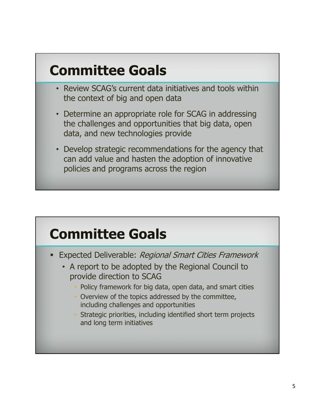#### **Committee Goals**

- Review SCAG's current data initiatives and tools within the context of big and open data
- Determine an appropriate role for SCAG in addressing the challenges and opportunities that big data, open data, and new technologies provide
- Develop strategic recommendations for the agency that can add value and hasten the adoption of innovative policies and programs across the region

#### **Committee Goals**

- **Expected Deliverable: Regional Smart Cities Framework** 
	- A report to be adopted by the Regional Council to provide direction to SCAG
		- Policy framework for big data, open data, and smart cities
		- Overview of the topics addressed by the committee, including challenges and opportunities
		- Strategic priorities, including identified short term projects and long term initiatives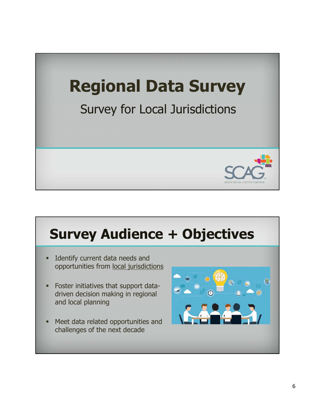

# **Survey Audience + Objectives**

- **Identify current data needs and** opportunities from local jurisdictions
- Foster initiatives that support datadriven decision making in regional and local planning
- Meet data related opportunities and challenges of the next decade

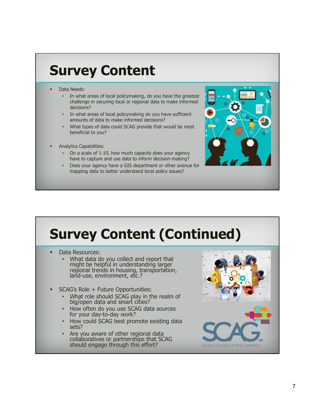#### **Survey Content**

- Data Needs:
	- In what areas of local policymaking, do you have the greatest challenge in securing local or regional data to make informed decisions?
	- In what areas of local policymaking do you have sufficient amounts of data to make informed decisions?
	- What types of data could SCAG provide that would be most beneficial to you?
- Analytics Capabilities:
	- On a scale of 1-10, how much capacity does your agency have to capture and use data to inform decision-making?
	- Does your agency have a GIS department or other avenue for mapping data to better understand local policy issues?



# **Survey Content (Continued)**

- Data Resources:
	- What data do you collect and report that might be helpful in understanding larger regional trends in housing, transportation, land-use, environment, etc.?
- SCAG's Role + Future Opportunities:
	- What role should SCAG play in the realm of big/open data and smart cities?
	- How often do you use SCAG data sources for your day-to-day work?
	- How could SCAG best promote existing data sets?
	- Are you aware of other regional data collaboratives or partnerships that SCAG should engage through this effort?



INNOVATING FOR A BETTER TOMORRD!